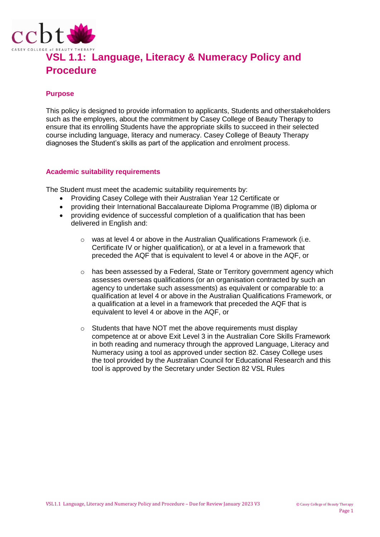

# **VSL 1.1: Language, Literacy & Numeracy Policy and Procedure**

### **Purpose**

This policy is designed to provide information to applicants, Students and otherstakeholders such as the employers, about the commitment by Casey College of Beauty Therapy to ensure that its enrolling Students have the appropriate skills to succeed in their selected course including language, literacy and numeracy. Casey College of Beauty Therapy diagnoses the Student's skills as part of the application and enrolment process.

#### **Academic suitability requirements**

The Student must meet the academic suitability requirements by:

- Providing Casey College with their Australian Year 12 Certificate or
- providing their International Baccalaureate Diploma Programme (IB) diploma or
- providing evidence of successful completion of a qualification that has been delivered in English and:
	- $\circ$  was at level 4 or above in the Australian Qualifications Framework (i.e. Certificate IV or higher qualification), or at a level in a framework that preceded the AQF that is equivalent to level 4 or above in the AQF, or
	- o has been assessed by a Federal, State or Territory government agency which assesses overseas qualifications (or an organisation contracted by such an agency to undertake such assessments) as equivalent or comparable to: a qualification at level 4 or above in the Australian Qualifications Framework, or a qualification at a level in a framework that preceded the AQF that is equivalent to level 4 or above in the AQF, or
	- o Students that have NOT met the above requirements must display competence at or above Exit Level 3 in the Australian Core Skills Framework in both reading and numeracy through the approved Language, Literacy and Numeracy using a tool as approved under section 82. Casey College uses the tool provided by the Australian Council for Educational Research and this tool is approved by the Secretary under Section 82 VSL Rules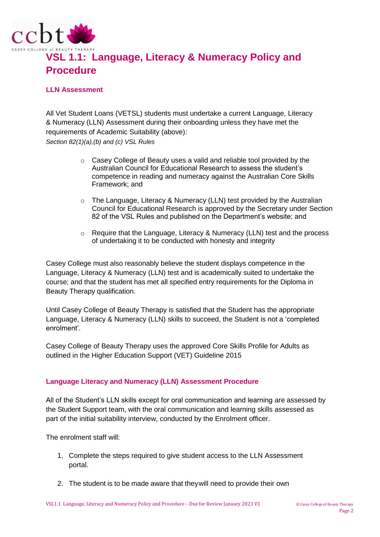

## **VSL 1.1: Language, Literacy & Numeracy Policy and Procedure**

### **LLN Assessment**

All Vet Student Loans (VETSL) students must undertake a current Language, Literacy & Numeracy (LLN) Assessment during their onboarding unless they have met the requirements of Academic Suitability (above): *Section 82(1)(a),(b) and (c) VSL Rules*

- o Casey College of Beauty uses a valid and reliable tool provided by the Australian Council for Educational Research to assess the student's competence in reading and numeracy against the Australian Core Skills Framework; and
- $\circ$  The Language, Literacy & Numeracy (LLN) test provided by the Australian Council for Educational Research is approved by the Secretary under Section 82 of the VSL Rules and published on the Department's website; and
- o Require that the Language, Literacy & Numeracy (LLN) test and the process of undertaking it to be conducted with honesty and integrity

Casey College must also reasonably believe the student displays competence in the Language, Literacy & Numeracy (LLN) test and is academically suited to undertake the course; and that the student has met all specified entry requirements for the Diploma in Beauty Therapy qualification.

Until Casey College of Beauty Therapy is satisfied that the Student has the appropriate Language, Literacy & Numeracy (LLN) skills to succeed, the Student is not a 'completed enrolment'.

Casey College of Beauty Therapy uses the approved Core Skills Profile for Adults as outlined in the Higher Education Support (VET) Guideline 2015

#### **Language Literacy and Numeracy (LLN) Assessment Procedure**

All of the Student's LLN skills except for oral communication and learning are assessed by the Student Support team, with the oral communication and learning skills assessed as part of the initial suitability interview, conducted by the Enrolment officer.

The enrolment staff will:

- 1. Complete the steps required to give student access to the LLN Assessment portal.
- 2. The student is to be made aware that theywill need to provide their own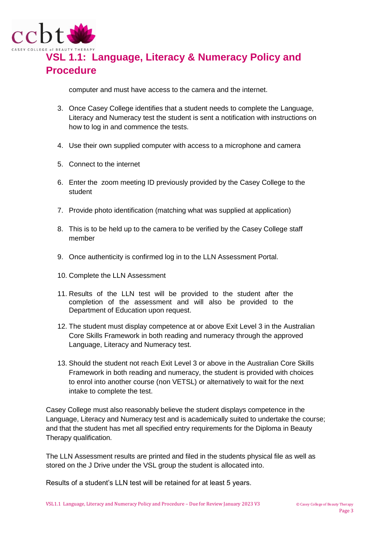

## **VSL 1.1: Language, Literacy & Numeracy Policy and Procedure**

computer and must have access to the camera and the internet.

- 3. Once Casey College identifies that a student needs to complete the Language, Literacy and Numeracy test the student is sent a notification with instructions on how to log in and commence the tests.
- 4. Use their own supplied computer with access to a microphone and camera
- 5. Connect to the internet
- 6. Enter the zoom meeting ID previously provided by the Casey College to the student
- 7. Provide photo identification (matching what was supplied at application)
- 8. This is to be held up to the camera to be verified by the Casey College staff member
- 9. Once authenticity is confirmed log in to the LLN Assessment Portal.
- 10. Complete the LLN Assessment
- 11. Results of the LLN test will be provided to the student after the completion of the assessment and will also be provided to the Department of Education upon request.
- 12. The student must display competence at or above Exit Level 3 in the Australian Core Skills Framework in both reading and numeracy through the approved Language, Literacy and Numeracy test.
- 13. Should the student not reach Exit Level 3 or above in the Australian Core Skills Framework in both reading and numeracy, the student is provided with choices to enrol into another course (non VETSL) or alternatively to wait for the next intake to complete the test.

Casey College must also reasonably believe the student displays competence in the Language, Literacy and Numeracy test and is academically suited to undertake the course; and that the student has met all specified entry requirements for the Diploma in Beauty Therapy qualification.

The LLN Assessment results are printed and filed in the students physical file as well as stored on the J Drive under the VSL group the student is allocated into.

Results of a student's LLN test will be retained for at least 5 years.